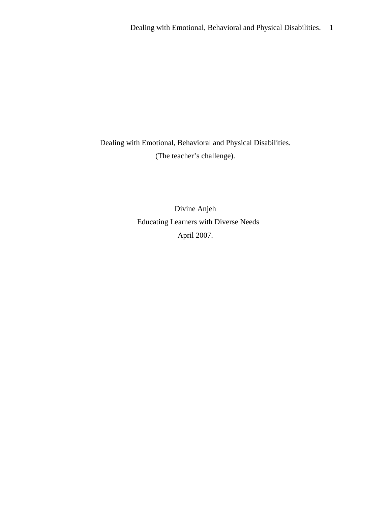Dealing with Emotional, Behavioral and Physical Disabilities. (The teacher's challenge).

> Divine Anjeh Educating Learners with Diverse Needs April 2007.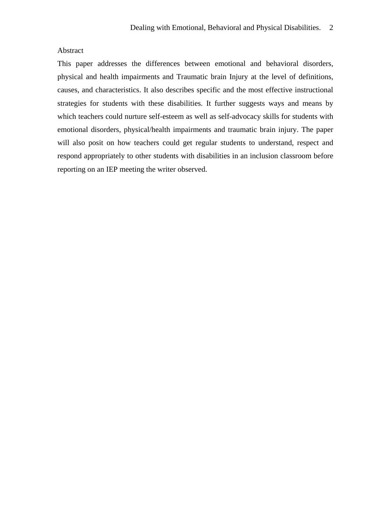# Abstract

This paper addresses the differences between emotional and behavioral disorders, physical and health impairments and Traumatic brain Injury at the level of definitions, causes, and characteristics. It also describes specific and the most effective instructional strategies for students with these disabilities. It further suggests ways and means by which teachers could nurture self-esteem as well as self-advocacy skills for students with emotional disorders, physical/health impairments and traumatic brain injury. The paper will also posit on how teachers could get regular students to understand, respect and respond appropriately to other students with disabilities in an inclusion classroom before reporting on an IEP meeting the writer observed.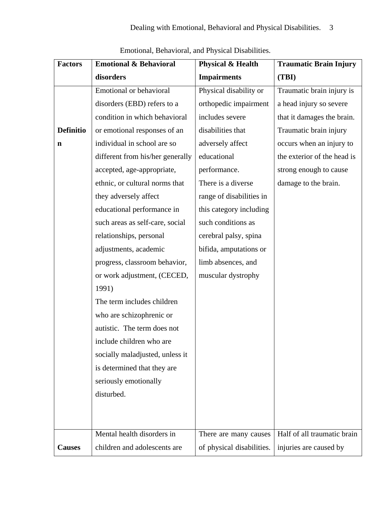| <b>Factors</b>   | <b>Emotional &amp; Behavioral</b> | <b>Physical &amp; Health</b> | <b>Traumatic Brain Injury</b> |
|------------------|-----------------------------------|------------------------------|-------------------------------|
|                  | disorders                         | <b>Impairments</b>           | (TBI)                         |
|                  | Emotional or behavioral           | Physical disability or       | Traumatic brain injury is     |
|                  | disorders (EBD) refers to a       | orthopedic impairment        | a head injury so severe       |
|                  | condition in which behavioral     | includes severe              | that it damages the brain.    |
| <b>Definitio</b> | or emotional responses of an      | disabilities that            | Traumatic brain injury        |
| $\mathbf n$      | individual in school are so       | adversely affect             | occurs when an injury to      |
|                  | different from his/her generally  | educational                  | the exterior of the head is   |
|                  | accepted, age-appropriate,        | performance.                 | strong enough to cause        |
|                  | ethnic, or cultural norms that    | There is a diverse           | damage to the brain.          |
|                  | they adversely affect             | range of disabilities in     |                               |
|                  | educational performance in        | this category including      |                               |
|                  | such areas as self-care, social   | such conditions as           |                               |
|                  | relationships, personal           | cerebral palsy, spina        |                               |
|                  | adjustments, academic             | bifida, amputations or       |                               |
|                  | progress, classroom behavior,     | limb absences, and           |                               |
|                  | or work adjustment, (CECED,       | muscular dystrophy           |                               |
|                  | 1991)                             |                              |                               |
|                  | The term includes children        |                              |                               |
|                  | who are schizophrenic or          |                              |                               |
|                  | autistic. The term does not       |                              |                               |
|                  | include children who are          |                              |                               |
|                  | socially maladjusted, unless it   |                              |                               |
|                  | is determined that they are       |                              |                               |
|                  | seriously emotionally             |                              |                               |
|                  | disturbed.                        |                              |                               |
|                  |                                   |                              |                               |
|                  |                                   |                              |                               |
|                  | Mental health disorders in        | There are many causes        | Half of all traumatic brain   |
| <b>Causes</b>    | children and adolescents are      | of physical disabilities.    | injuries are caused by        |

Emotional, Behavioral, and Physical Disabilities.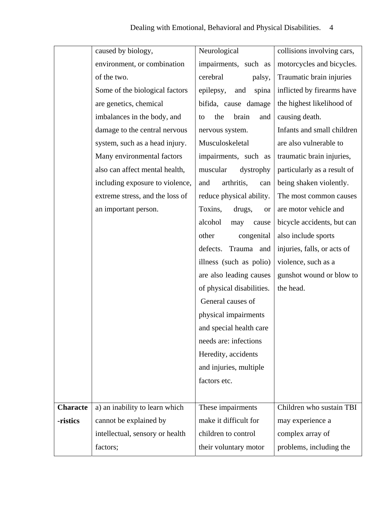|                 | caused by biology,              | Neurological                   | collisions involving cars,  |
|-----------------|---------------------------------|--------------------------------|-----------------------------|
|                 | environment, or combination     | impairments, such as           | motorcycles and bicycles.   |
|                 | of the two.                     | cerebral<br>palsy,             | Traumatic brain injuries    |
|                 | Some of the biological factors  | epilepsy,<br>and<br>spina      | inflicted by firearms have  |
|                 | are genetics, chemical          | bifida, cause damage           | the highest likelihood of   |
|                 | imbalances in the body, and     | the<br>brain<br>and<br>to      | causing death.              |
|                 | damage to the central nervous   | nervous system.                | Infants and small children  |
|                 | system, such as a head injury.  | Musculoskeletal                | are also vulnerable to      |
|                 | Many environmental factors      | impairments, such as           | traumatic brain injuries,   |
|                 | also can affect mental health,  | muscular<br>dystrophy          | particularly as a result of |
|                 | including exposure to violence, | arthritis,<br>and<br>can       | being shaken violently.     |
|                 | extreme stress, and the loss of | reduce physical ability.       | The most common causes      |
|                 | an important person.            | Toxins,<br>drugs,<br><b>or</b> | are motor vehicle and       |
|                 |                                 | alcohol<br>may<br>cause        | bicycle accidents, but can  |
|                 |                                 | other<br>congenital            | also include sports         |
|                 |                                 | defects.<br>Trauma and         | injuries, falls, or acts of |
|                 |                                 | illness (such as polio)        | violence, such as a         |
|                 |                                 | are also leading causes        | gunshot wound or blow to    |
|                 |                                 | of physical disabilities.      | the head.                   |
|                 |                                 | General causes of              |                             |
|                 |                                 | physical impairments           |                             |
|                 |                                 | and special health care        |                             |
|                 |                                 | needs are: infections          |                             |
|                 |                                 | Heredity, accidents            |                             |
|                 |                                 | and injuries, multiple         |                             |
|                 |                                 | factors etc.                   |                             |
|                 |                                 |                                |                             |
| <b>Characte</b> | a) an inability to learn which  | These impairments              | Children who sustain TBI    |
| -ristics        | cannot be explained by          | make it difficult for          | may experience a            |
|                 | intellectual, sensory or health | children to control            | complex array of            |
|                 | factors;                        | their voluntary motor          | problems, including the     |
|                 |                                 |                                |                             |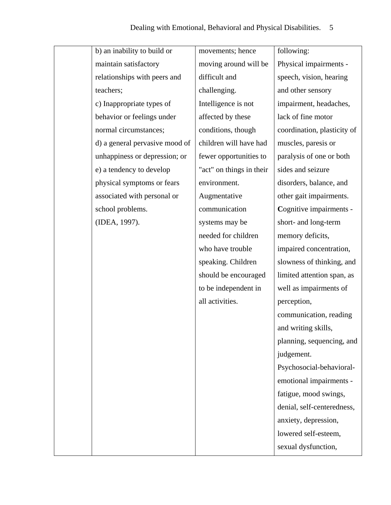| b) an inability to build or    | movements; hence         | following:                  |
|--------------------------------|--------------------------|-----------------------------|
| maintain satisfactory          | moving around will be    | Physical impairments -      |
| relationships with peers and   | difficult and            | speech, vision, hearing     |
| teachers;                      | challenging.             | and other sensory           |
| c) Inappropriate types of      | Intelligence is not      | impairment, headaches,      |
| behavior or feelings under     | affected by these        | lack of fine motor          |
| normal circumstances;          | conditions, though       | coordination, plasticity of |
| d) a general pervasive mood of | children will have had   | muscles, paresis or         |
| unhappiness or depression; or  | fewer opportunities to   | paralysis of one or both    |
| e) a tendency to develop       | "act" on things in their | sides and seizure           |
| physical symptoms or fears     | environment.             | disorders, balance, and     |
| associated with personal or    | Augmentative             | other gait impairments.     |
| school problems.               | communication            | Cognitive impairments -     |
| (IDEA, 1997).                  | systems may be           | short- and long-term        |
|                                | needed for children      | memory deficits,            |
|                                | who have trouble         | impaired concentration,     |
|                                | speaking. Children       | slowness of thinking, and   |
|                                | should be encouraged     | limited attention span, as  |
|                                | to be independent in     | well as impairments of      |
|                                | all activities.          | perception,                 |
|                                |                          | communication, reading      |
|                                |                          | and writing skills,         |
|                                |                          | planning, sequencing, and   |
|                                |                          | judgement.                  |
|                                |                          | Psychosocial-behavioral-    |
|                                |                          | emotional impairments -     |
|                                |                          | fatigue, mood swings,       |
|                                |                          | denial, self-centeredness,  |
|                                |                          | anxiety, depression,        |
|                                |                          | lowered self-esteem,        |
|                                |                          | sexual dysfunction,         |
|                                |                          |                             |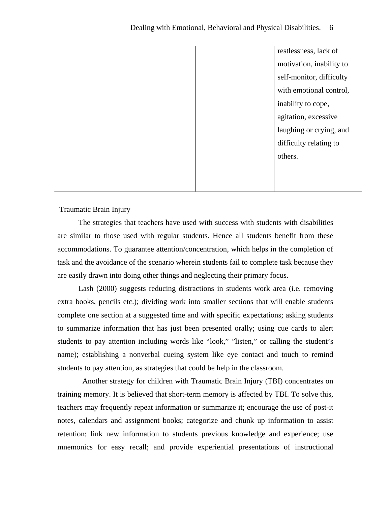|  | restlessness, lack of    |
|--|--------------------------|
|  | motivation, inability to |
|  | self-monitor, difficulty |
|  | with emotional control,  |
|  | inability to cope,       |
|  | agitation, excessive     |
|  | laughing or crying, and  |
|  | difficulty relating to   |
|  | others.                  |
|  |                          |
|  |                          |

## Traumatic Brain Injury

 The strategies that teachers have used with success with students with disabilities are similar to those used with regular students. Hence all students benefit from these accommodations. To guarantee attention/concentration, which helps in the completion of task and the avoidance of the scenario wherein students fail to complete task because they are easily drawn into doing other things and neglecting their primary focus.

 Lash (2000) suggests reducing distractions in students work area (i.e. removing extra books, pencils etc.); dividing work into smaller sections that will enable students complete one section at a suggested time and with specific expectations; asking students to summarize information that has just been presented orally; using cue cards to alert students to pay attention including words like "look," "listen," or calling the student's name); establishing a nonverbal cueing system like eye contact and touch to remind students to pay attention, as strategies that could be help in the classroom.

 Another strategy for children with Traumatic Brain Injury (TBI) concentrates on training memory. It is believed that short-term memory is affected by TBI. To solve this, teachers may frequently repeat information or summarize it; encourage the use of post-it notes, calendars and assignment books; categorize and chunk up information to assist retention; link new information to students previous knowledge and experience; use mnemonics for easy recall; and provide experiential presentations of instructional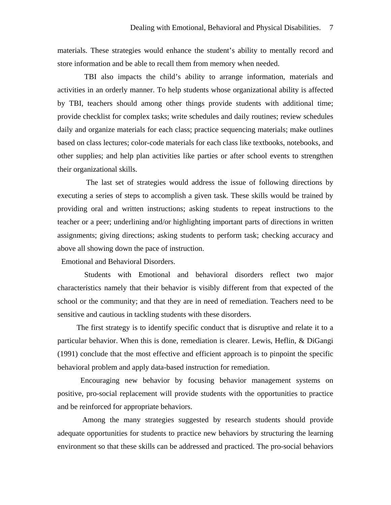materials. These strategies would enhance the student's ability to mentally record and store information and be able to recall them from memory when needed.

 TBI also impacts the child's ability to arrange information, materials and activities in an orderly manner. To help students whose organizational ability is affected by TBI, teachers should among other things provide students with additional time; provide checklist for complex tasks; write schedules and daily routines; review schedules daily and organize materials for each class; practice sequencing materials; make outlines based on class lectures; color-code materials for each class like textbooks, notebooks, and other supplies; and help plan activities like parties or after school events to strengthen their organizational skills.

 The last set of strategies would address the issue of following directions by executing a series of steps to accomplish a given task. These skills would be trained by providing oral and written instructions; asking students to repeat instructions to the teacher or a peer; underlining and/or highlighting important parts of directions in written assignments; giving directions; asking students to perform task; checking accuracy and above all showing down the pace of instruction.

Emotional and Behavioral Disorders.

 Students with Emotional and behavioral disorders reflect two major characteristics namely that their behavior is visibly different from that expected of the school or the community; and that they are in need of remediation. Teachers need to be sensitive and cautious in tackling students with these disorders.

 The first strategy is to identify specific conduct that is disruptive and relate it to a particular behavior. When this is done, remediation is clearer. Lewis, Heflin, & DiGangi (1991) conclude that the most effective and efficient approach is to pinpoint the specific behavioral problem and apply data-based instruction for remediation.

 Encouraging new behavior by focusing behavior management systems on positive, pro-social replacement will provide students with the opportunities to practice and be reinforced for appropriate behaviors.

 Among the many strategies suggested by research students should provide adequate opportunities for students to practice new behaviors by structuring the learning environment so that these skills can be addressed and practiced. The pro-social behaviors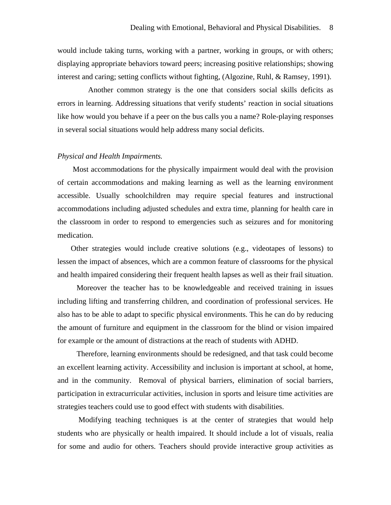would include taking turns, working with a partner, working in groups, or with others; displaying appropriate behaviors toward peers; increasing positive relationships; showing interest and caring; setting conflicts without fighting, (Algozine, Ruhl, & Ramsey, 1991).

 Another common strategy is the one that considers social skills deficits as errors in learning. Addressing situations that verify students' reaction in social situations like how would you behave if a peer on the bus calls you a name? Role-playing responses in several social situations would help address many social deficits.

#### *Physical and Health Impairments.*

 Most accommodations for the physically impairment would deal with the provision of certain accommodations and making learning as well as the learning environment accessible. Usually schoolchildren may require special features and instructional accommodations including adjusted schedules and extra time, planning for health care in the classroom in order to respond to emergencies such as seizures and for monitoring medication.

 Other strategies would include creative solutions (e.g., videotapes of lessons) to lessen the impact of absences, which are a common feature of classrooms for the physical and health impaired considering their frequent health lapses as well as their frail situation.

 Moreover the teacher has to be knowledgeable and received training in issues including lifting and transferring children, and coordination of professional services. He also has to be able to adapt to specific physical environments. This he can do by reducing the amount of furniture and equipment in the classroom for the blind or vision impaired for example or the amount of distractions at the reach of students with ADHD.

 Therefore, learning environments should be redesigned, and that task could become an excellent learning activity. Accessibility and inclusion is important at school, at home, and in the community. Removal of physical barriers, elimination of social barriers, participation in extracurricular activities, inclusion in sports and leisure time activities are strategies teachers could use to good effect with students with disabilities.

 Modifying teaching techniques is at the center of strategies that would help students who are physically or health impaired. It should include a lot of visuals, realia for some and audio for others. Teachers should provide interactive group activities as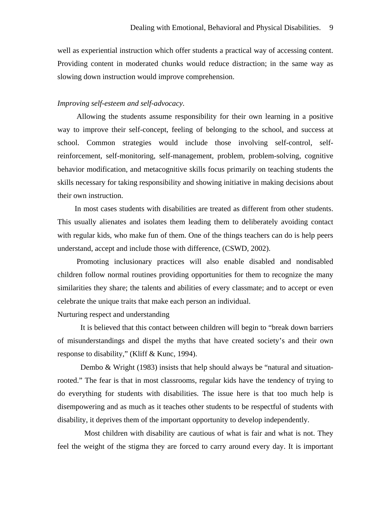well as experiential instruction which offer students a practical way of accessing content. Providing content in moderated chunks would reduce distraction; in the same way as slowing down instruction would improve comprehension.

### *Improving self-esteem and self-advocacy.*

 Allowing the students assume responsibility for their own learning in a positive way to improve their self-concept, feeling of belonging to the school, and success at school. Common strategies would include those involving self-control, selfreinforcement, self-monitoring, self-management, problem, problem-solving, cognitive behavior modification, and metacognitive skills focus primarily on teaching students the skills necessary for taking responsibility and showing initiative in making decisions about their own instruction.

 In most cases students with disabilities are treated as different from other students. This usually alienates and isolates them leading them to deliberately avoiding contact with regular kids, who make fun of them. One of the things teachers can do is help peers understand, accept and include those with difference, (CSWD, 2002).

 Promoting inclusionary practices will also enable disabled and nondisabled children follow normal routines providing opportunities for them to recognize the many similarities they share; the talents and abilities of every classmate; and to accept or even celebrate the unique traits that make each person an individual.

### Nurturing respect and understanding

 It is believed that this contact between children will begin to "break down barriers of misunderstandings and dispel the myths that have created society's and their own response to disability," (Kliff & Kunc, 1994).

 Dembo & Wright (1983) insists that help should always be "natural and situationrooted." The fear is that in most classrooms, regular kids have the tendency of trying to do everything for students with disabilities. The issue here is that too much help is disempowering and as much as it teaches other students to be respectful of students with disability, it deprives them of the important opportunity to develop independently.

 Most children with disability are cautious of what is fair and what is not. They feel the weight of the stigma they are forced to carry around every day. It is important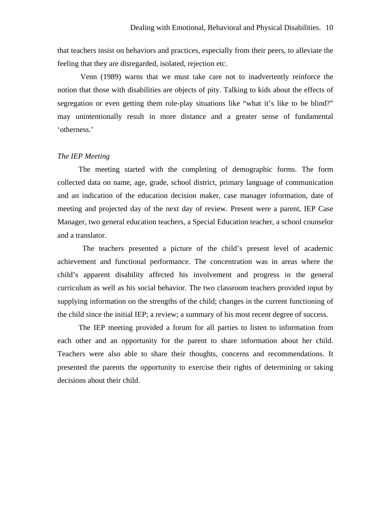that teachers insist on behaviors and practices, especially from their peers, to alleviate the feeling that they are disregarded, isolated, rejection etc.

 Venn (1989) warns that we must take care not to inadvertently reinforce the notion that those with disabilities are objects of pity. Talking to kids about the effects of segregation or even getting them role-play situations like "what it's like to be blind?" may unintentionally result in more distance and a greater sense of fundamental 'otherness.'

#### *The IEP Meeting*

 The meeting started with the completing of demographic forms. The form collected data on name, age, grade, school district, primary language of communication and an indication of the education decision maker, case manager information, date of meeting and projected day of the next day of review. Present were a parent, IEP Case Manager, two general education teachers, a Special Education teacher, a school counselor and a translator.

 The teachers presented a picture of the child's present level of academic achievement and functional performance. The concentration was in areas where the child's apparent disability affected his involvement and progress in the general curriculum as well as his social behavior. The two classroom teachers provided input by supplying information on the strengths of the child; changes in the current functioning of the child since the initial IEP; a review; a summary of his most recent degree of success.

 The IEP meeting provided a forum for all parties to listen to information from each other and an opportunity for the parent to share information about her child. Teachers were also able to share their thoughts, concerns and recommendations. It presented the parents the opportunity to exercise their rights of determining or taking decisions about their child.